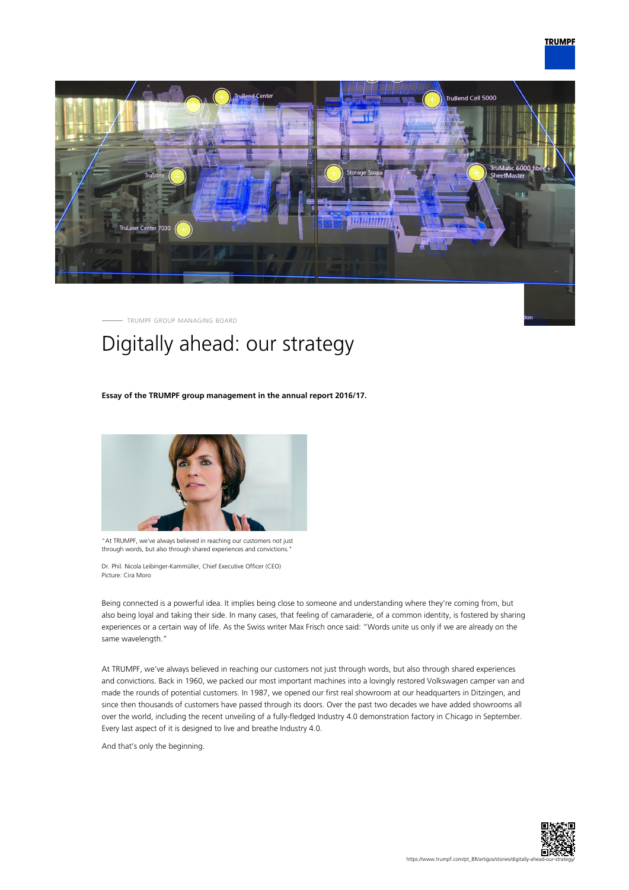



TRUMPF GROUP MANAGING BOARD

# Digitally ahead: our strategy

## **Essay of the TRUMPF group management in the annual report 2016/17.**



"At TRUMPF, we've always believed in reaching our customers not just through words, but also through shared experiences and convictions."

Dr. Phil. Nicola Leibinger-Kammüller, Chief Executive Officer (CEO) Picture: Cira Moro

Being connected is a powerful idea. It implies being close to someone and understanding where they're coming from, but also being loyal and taking their side. In many cases, that feeling of camaraderie, of a common identity, is fostered by sharing experiences or a certain way of life. As the Swiss writer Max Frisch once said: "Words unite us only if we are already on the same wavelength."

At TRUMPF, we've always believed in reaching our customers not just through words, but also through shared experiences and convictions. Back in 1960, we packed our most important machines into a lovingly restored Volkswagen camper van and made the rounds of potential customers. In 1987, we opened our first real showroom at our headquarters in Ditzingen, and since then thousands of customers have passed through its doors. Over the past two decades we have added showrooms all over the world, including the recent unveiling of a fully-fledged Industry 4.0 demonstration factory in Chicago in September. Every last aspect of it is designed to live and breathe Industry 4.0.

And that's only the beginning.

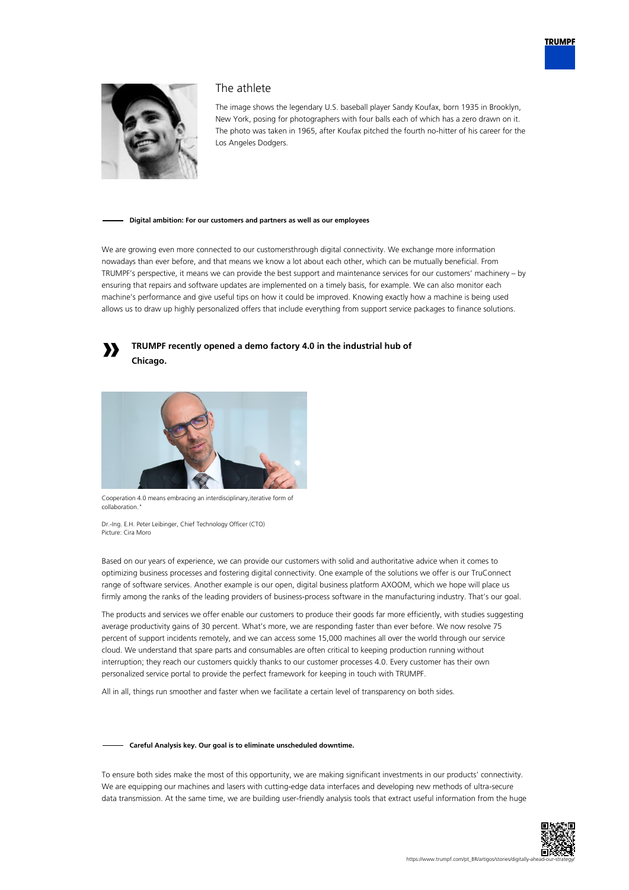



# The athlete

The image shows the legendary U.S. baseball player Sandy Koufax, born 1935 in Brooklyn, New York, posing for photographers with four balls each of which has a zero drawn on it. The photo was taken in 1965, after Koufax pitched the fourth no-hitter of his career for the Los Angeles Dodgers.

#### **Digital ambition: For our customers and partners as well as our employees**

We are growing even more connected to our customersthrough digital connectivity. We exchange more information nowadays than ever before, and that means we know a lot about each other, which can be mutually beneficial. From TRUMPF's perspective, it means we can provide the best support and maintenance services for our customers' machinery – by ensuring that repairs and software updates are implemented on a timely basis, for example. We can also monitor each machine's performance and give useful tips on how it could be improved. Knowing exactly how a machine is being used allows us to draw up highly personalized offers that include everything from support service packages to finance solutions.



## **TRUMPF recently opened a demo factory 4.0 in the industrial hub of Chicago.**



Cooperation 4.0 means embracing an interdisciplinary,iterative form of collaboration."

Dr.-Ing. E.H. Peter Leibinger, Chief Technology Officer (CTO) Picture: Cira Moro

Based on our years of experience, we can provide our customers with solid and authoritative advice when it comes to optimizing business processes and fostering digital connectivity. One example of the solutions we offer is our TruConnect range of software services. Another example is our open, digital business platform AXOOM, which we hope will place us firmly among the ranks of the leading providers of business-process software in the manufacturing industry. That's our goal.

The products and services we offer enable our customers to produce their goods far more efficiently, with studies suggesting average productivity gains of 30 percent. What's more, we are responding faster than ever before. We now resolve 75 percent of support incidents remotely, and we can access some 15,000 machines all over the world through our service cloud. We understand that spare parts and consumables are often critical to keeping production running without interruption; they reach our customers quickly thanks to our customer processes 4.0. Every customer has their own personalized service portal to provide the perfect framework for keeping in touch with TRUMPF.

All in all, things run smoother and faster when we facilitate a certain level of transparency on both sides.

## **Careful Analysis key. Our goal is to eliminate unscheduled downtime.**

To ensure both sides make the most of this opportunity, we are making significant investments in our products' connectivity. We are equipping our machines and lasers with cutting-edge data interfaces and developing new methods of ultra-secure data transmission. At the same time, we are building user-friendly analysis tools that extract useful information from the huge

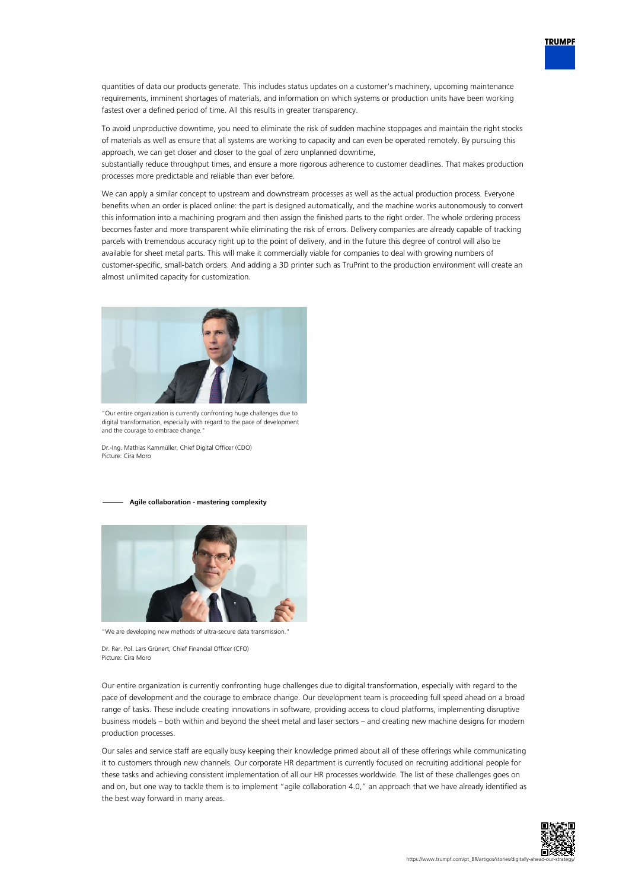

quantities of data our products generate. This includes status updates on a customer's machinery, upcoming maintenance requirements, imminent shortages of materials, and information on which systems or production units have been working fastest over a defined period of time. All this results in greater transparency.

To avoid unproductive downtime, you need to eliminate the risk of sudden machine stoppages and maintain the right stocks of materials as well as ensure that all systems are working to capacity and can even be operated remotely. By pursuing this approach, we can get closer and closer to the goal of zero unplanned downtime,

substantially reduce throughput times, and ensure a more rigorous adherence to customer deadlines. That makes production processes more predictable and reliable than ever before.

We can apply a similar concept to upstream and downstream processes as well as the actual production process. Everyone benefits when an order is placed online: the part is designed automatically, and the machine works autonomously to convert this information into a machining program and then assign the finished parts to the right order. The whole ordering process becomes faster and more transparent while eliminating the risk of errors. Delivery companies are already capable of tracking parcels with tremendous accuracy right up to the point of delivery, and in the future this degree of control will also be available for sheet metal parts. This will make it commercially viable for companies to deal with growing numbers of customer-specific, small-batch orders. And adding a 3D printer such as TruPrint to the production environment will create an almost unlimited capacity for customization.



"Our entire organization is currently confronting huge challenges due to digital transformation, especially with regard to the pace of development and the courage to embrace change.

Dr.-Ing. Mathias Kammüller, Chief Digital Officer (CDO) Picture: Cira Moro

#### **Agile collaboration - mastering complexity**



"We are developing new methods of ultra-secure data transmission."

Dr. Rer. Pol. Lars Grünert, Chief Financial Officer (CFO) Picture: Cira Moro

Our entire organization is currently confronting huge challenges due to digital transformation, especially with regard to the pace of development and the courage to embrace change. Our development team is proceeding full speed ahead on a broad range of tasks. These include creating innovations in software, providing access to cloud platforms, implementing disruptive business models – both within and beyond the sheet metal and laser sectors – and creating new machine designs for modern production processes.

Our sales and service staff are equally busy keeping their knowledge primed about all of these offerings while communicating it to customers through new channels. Our corporate HR department is currently focused on recruiting additional people for these tasks and achieving consistent implementation of all our HR processes worldwide. The list of these challenges goes on and on, but one way to tackle them is to implement "agile collaboration 4.0," an approach that we have already identified as the best way forward in many areas.

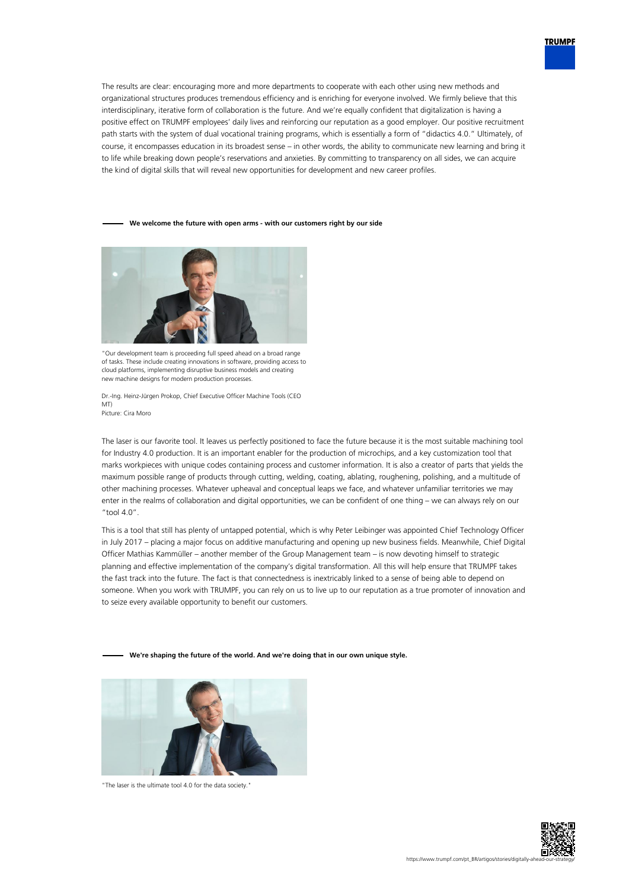

The results are clear: encouraging more and more departments to cooperate with each other using new methods and organizational structures produces tremendous efficiency and is enriching for everyone involved. We firmly believe that this interdisciplinary, iterative form of collaboration is the future. And we're equally confident that digitalization is having a positive effect on TRUMPF employees' daily lives and reinforcing our reputation as a good employer. Our positive recruitment path starts with the system of dual vocational training programs, which is essentially a form of "didactics 4.0." Ultimately, of course, it encompasses education in its broadest sense – in other words, the ability to communicate new learning and bring it to life while breaking down people's reservations and anxieties. By committing to transparency on all sides, we can acquire the kind of digital skills that will reveal new opportunities for development and new career profiles.

## **We welcome the future with open arms - with our customers right by our side**



"Our development team is proceeding full speed ahead on a broad range of tasks. These include creating innovations in software, providing access to cloud platforms, implementing disruptive business models and creating new machine designs for modern production processes.

Dr.-Ing. Heinz-Jürgen Prokop, Chief Executive Officer Machine Tools (CEO MT) Picture: Cira Moro

The laser is our favorite tool. It leaves us perfectly positioned to face the future because it is the most suitable machining tool for Industry 4.0 production. It is an important enabler for the production of microchips, and a key customization tool that marks workpieces with unique codes containing process and customer information. It is also a creator of parts that yields the maximum possible range of products through cutting, welding, coating, ablating, roughening, polishing, and a multitude of other machining processes. Whatever upheaval and conceptual leaps we face, and whatever unfamiliar territories we may enter in the realms of collaboration and digital opportunities, we can be confident of one thing – we can always rely on our "tool  $4.0"$ .

This is a tool that still has plenty of untapped potential, which is why Peter Leibinger was appointed Chief Technology Officer in July 2017 – placing a major focus on additive manufacturing and opening up new business fields. Meanwhile, Chief Digital Officer Mathias Kammüller – another member of the Group Management team – is now devoting himself to strategic planning and effective implementation of the company's digital transformation. All this will help ensure that TRUMPF takes the fast track into the future. The fact is that connectedness is inextricably linked to a sense of being able to depend on someone. When you work with TRUMPF, you can rely on us to live up to our reputation as a true promoter of innovation and to seize every available opportunity to benefit our customers.

**We're shaping the future of the world. And we're doing that in our own unique style.**



"The laser is the ultimate tool 4.0 for the data society."